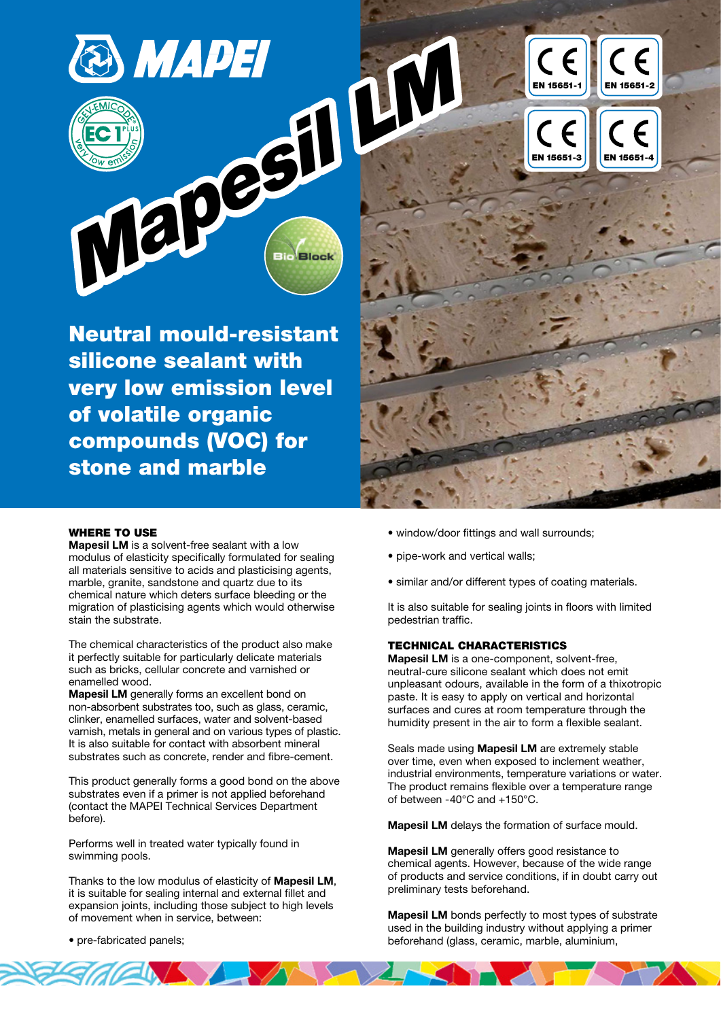

Neutral mould-resistant silicone sealant with very low emission level of volatile organic compounds (VOC) for stone and marble



### WHERE TO USE

Mapesil LM is a solvent-free sealant with a low modulus of elasticity specifically formulated for sealing all materials sensitive to acids and plasticising agents, marble, granite, sandstone and quartz due to its chemical nature which deters surface bleeding or the migration of plasticising agents which would otherwise stain the substrate.

The chemical characteristics of the product also make it perfectly suitable for particularly delicate materials such as bricks, cellular concrete and varnished or enamelled wood.

Mapesil LM generally forms an excellent bond on non-absorbent substrates too, such as glass, ceramic, clinker, enamelled surfaces, water and solvent-based varnish, metals in general and on various types of plastic. It is also suitable for contact with absorbent mineral substrates such as concrete, render and fibre-cement.

This product generally forms a good bond on the above substrates even if a primer is not applied beforehand (contact the MAPEI Technical Services Department before).

Performs well in treated water typically found in swimming pools.

Thanks to the low modulus of elasticity of Mapesil LM, it is suitable for sealing internal and external fillet and expansion joints, including those subject to high levels of movement when in service, between:

 $\mathbb{Z}$ 

- window/door fittings and wall surrounds;
- pipe-work and vertical walls:
- similar and/or different types of coating materials.

It is also suitable for sealing joints in floors with limited pedestrian traffic.

#### TECHNICAL CHARACTERISTICS

Mapesil LM is a one-component, solvent-free, neutral-cure silicone sealant which does not emit unpleasant odours, available in the form of a thixotropic paste. It is easy to apply on vertical and horizontal surfaces and cures at room temperature through the humidity present in the air to form a flexible sealant.

Seals made using Mapesil LM are extremely stable over time, even when exposed to inclement weather, industrial environments, temperature variations or water. The product remains flexible over a temperature range of between -40°C and +150°C.

Mapesil LM delays the formation of surface mould.

Mapesil LM generally offers good resistance to chemical agents. However, because of the wide range of products and service conditions, if in doubt carry out preliminary tests beforehand.

Mapesil LM bonds perfectly to most types of substrate used in the building industry without applying a primer beforehand (glass, ceramic, marble, aluminium,

• pre-fabricated panels;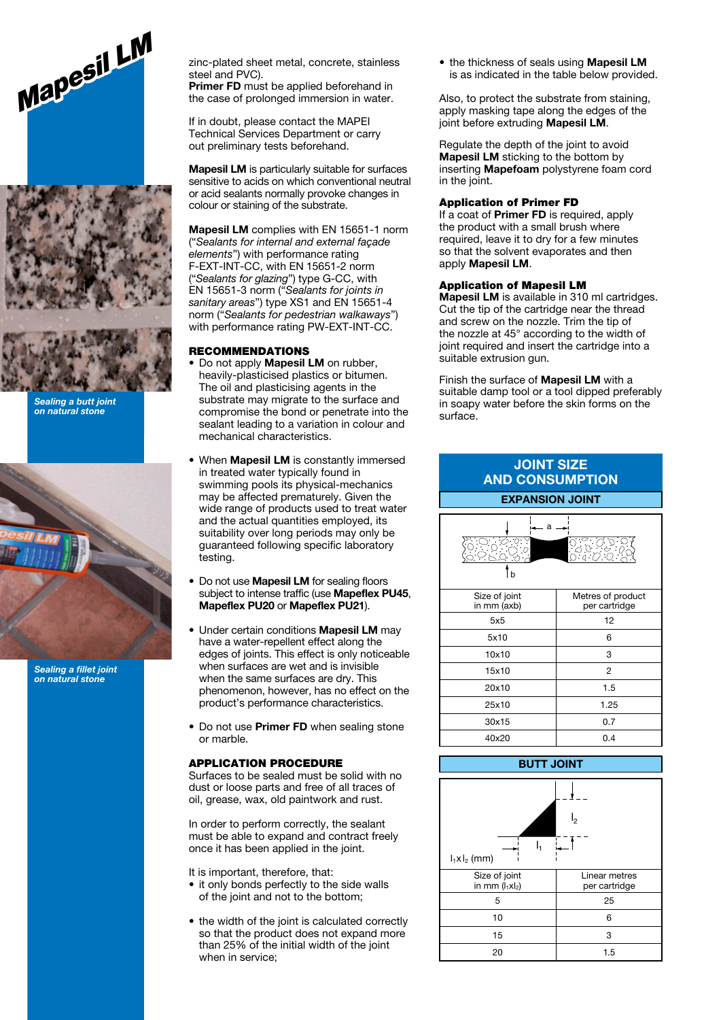



Sealing a butt joint on natural stone



Sealing a fillet joint on natural stone

zinc-plated sheet metal, concrete, stainless steel and PVC).

Primer FD must be applied beforehand in the case of prolonged immersion in water.

If in doubt, please contact the MAPEI Technical Services Department or carry out preliminary tests beforehand.

Mapesil LM is particularly suitable for surfaces sensitive to acids on which conventional neutral or acid sealants normally provoke changes in colour or staining of the substrate.

Mapesil LM complies with EN 15651-1 norm ("Sealants for internal and external façade elements") with performance rating F-EXT-INT-CC, with EN 15651-2 norm ("Sealants for glazing") type G-CC, with EN 15651-3 norm ("Sealants for joints in sanitary areas") type XS1 and EN 15651-4 norm ("Sealants for pedestrian walkaways") with performance rating PW-EXT-INT-CC.

#### RECOMMENDATIONS

- Do not apply Mapesil LM on rubber, heavily-plasticised plastics or bitumen. The oil and plasticising agents in the substrate may migrate to the surface and compromise the bond or penetrate into the sealant leading to a variation in colour and mechanical characteristics.
- When **Mapesil LM** is constantly immersed in treated water typically found in swimming pools its physical-mechanics may be affected prematurely. Given the wide range of products used to treat water and the actual quantities employed, its suitability over long periods may only be guaranteed following specific laboratory testing.
- Do not use **Mapesil LM** for sealing floors subject to intense traffic (use Mapeflex PU45, Mapeflex PU20 or Mapeflex PU21).
- Under certain conditions Mapesil LM may have a water-repellent effect along the edges of joints. This effect is only noticeable when surfaces are wet and is invisible when the same surfaces are dry. This phenomenon, however, has no effect on the product's performance characteristics.
- Do not use Primer FD when sealing stone or marble.

#### APPLICATION PROCEDURE

Surfaces to be sealed must be solid with no dust or loose parts and free of all traces of oil, grease, wax, old paintwork and rust.

In order to perform correctly, the sealant must be able to expand and contract freely once it has been applied in the joint.

It is important, therefore, that:

- it only bonds perfectly to the side walls of the joint and not to the bottom;
- the width of the joint is calculated correctly so that the product does not expand more than 25% of the initial width of the joint when in service;

• the thickness of seals using **Mapesil LM** is as indicated in the table below provided.

Also, to protect the substrate from staining, apply masking tape along the edges of the joint before extruding Mapesil LM.

Regulate the depth of the joint to avoid Mapesil LM sticking to the bottom by inserting Mapefoam polystyrene foam cord in the joint.

## Application of Primer FD

If a coat of **Primer FD** is required, apply the product with a small brush where required, leave it to dry for a few minutes so that the solvent evaporates and then apply Mapesil LM.

# Application of Mapesil LM

Mapesil LM is available in 310 ml cartridges. Cut the tip of the cartridge near the thread and screw on the nozzle. Trim the tip of the nozzle at 45° according to the width of joint required and insert the cartridge into a suitable extrusion gun.

Finish the surface of Mapesil LM with a suitable damp tool or a tool dipped preferably in soapy water before the skin forms on the surface.

| <b>JOINT SIZE</b><br><b>AND CONSUMPTION</b>                                                  |                                    |  |
|----------------------------------------------------------------------------------------------|------------------------------------|--|
| <b>EXPANSION JOINT</b>                                                                       |                                    |  |
| $a \rightarrow$<br>٠Ö.<br>0.0.0.0<br>0.0.0.0.0<br>0.0.0.0.0<br>ن کړه.<br>من<br>$\frac{1}{2}$ |                                    |  |
| Size of joint<br>in mm (axb)                                                                 | Metres of product<br>per cartridge |  |
| 5x5                                                                                          | 12                                 |  |
| 5x10                                                                                         | 6                                  |  |
| 10x10                                                                                        | 3                                  |  |
| 15x10                                                                                        | $\overline{2}$                     |  |
| 20x10                                                                                        | 1.5                                |  |
| 25x10                                                                                        | 1.25                               |  |
| 30x15                                                                                        | 0.7                                |  |
| 40x20                                                                                        | 0.4                                |  |
| <b>BUTT JOINT</b>                                                                            |                                    |  |

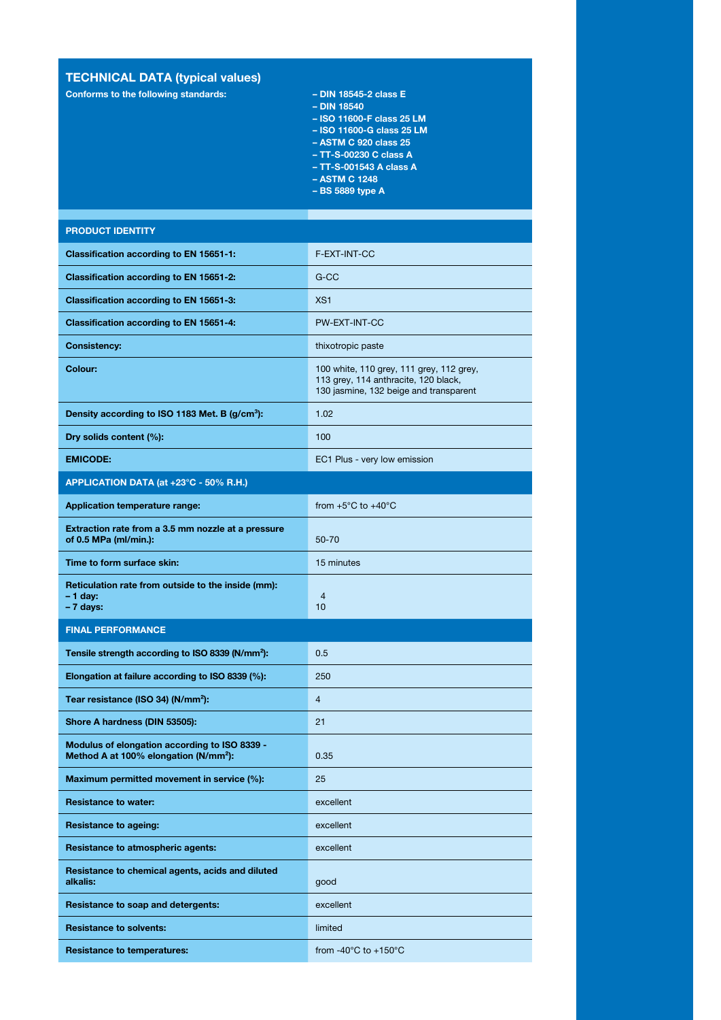# TECHNICAL DATA (typical values)

Conforms to the following standards: – – DIN 18545-2 class E

- 
- DIN 18540
- ISO 11600-F class 25 LM – ISO 11600-G class 25 LM
- 
- ASTM C 920 class 25 – TT-S-00230 C class A
- TT-S-001543 A class A
- ASTM C 1248
- BS 5889 type A

### PRODUCT IDENTITY

| Classification according to EN 15651-1:                                                            | F-EXT-INT-CC                                                                                                               |
|----------------------------------------------------------------------------------------------------|----------------------------------------------------------------------------------------------------------------------------|
| Classification according to EN 15651-2:                                                            | $G-CC$                                                                                                                     |
| Classification according to EN 15651-3:                                                            | XS <sub>1</sub>                                                                                                            |
| Classification according to EN 15651-4:                                                            | PW-EXT-INT-CC                                                                                                              |
| <b>Consistency:</b>                                                                                | thixotropic paste                                                                                                          |
| Colour:                                                                                            | 100 white, 110 grey, 111 grey, 112 grey,<br>113 grey, 114 anthracite, 120 black,<br>130 jasmine, 132 beige and transparent |
| Density according to ISO 1183 Met. B (g/cm <sup>3</sup> ):                                         | 1.02                                                                                                                       |
| Dry solids content (%):                                                                            | 100                                                                                                                        |
| <b>EMICODE:</b>                                                                                    | EC1 Plus - very low emission                                                                                               |
| APPLICATION DATA (at +23°C - 50% R.H.)                                                             |                                                                                                                            |
| <b>Application temperature range:</b>                                                              | from $+5^{\circ}$ C to $+40^{\circ}$ C                                                                                     |
| Extraction rate from a 3.5 mm nozzle at a pressure<br>of 0.5 MPa (ml/min.):                        | $50 - 70$                                                                                                                  |
| Time to form surface skin:                                                                         | 15 minutes                                                                                                                 |
| Reticulation rate from outside to the inside (mm):<br>$-1$ day:<br>- 7 days:                       | $\overline{4}$<br>10                                                                                                       |
| <b>FINAL PERFORMANCE</b>                                                                           |                                                                                                                            |
| Tensile strength according to ISO 8339 (N/mm <sup>2</sup> ):                                       | 0.5                                                                                                                        |
| Elongation at failure according to ISO 8339 (%):                                                   | 250                                                                                                                        |
| Tear resistance (ISO 34) (N/mm <sup>2</sup> ):                                                     | $\overline{4}$                                                                                                             |
| Shore A hardness (DIN 53505):                                                                      | 21                                                                                                                         |
| Modulus of elongation according to ISO 8339 -<br>Method A at 100% elongation (N/mm <sup>2</sup> ): | 0.35                                                                                                                       |
| Maximum permitted movement in service (%):                                                         | 25                                                                                                                         |
| <b>Resistance to water:</b>                                                                        | excellent                                                                                                                  |
| <b>Resistance to ageing:</b>                                                                       | excellent                                                                                                                  |
| Resistance to atmospheric agents:                                                                  | excellent                                                                                                                  |
| Resistance to chemical agents, acids and diluted<br>alkalis:                                       | good                                                                                                                       |
| Resistance to soap and detergents:                                                                 | excellent                                                                                                                  |
| <b>Resistance to solvents:</b>                                                                     | limited                                                                                                                    |
| <b>Resistance to temperatures:</b>                                                                 | from -40 $\degree$ C to +150 $\degree$ C                                                                                   |